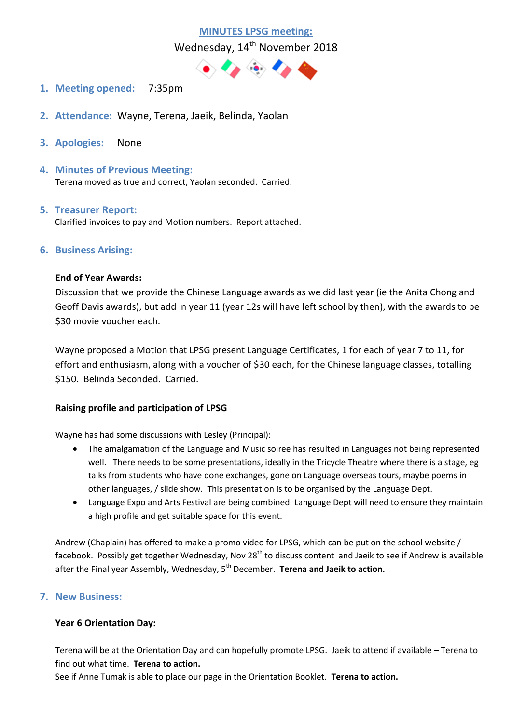

Wednesday, 14<sup>th</sup> November 2018



- **1. Meeting opened:** 7:35pm
- **2. Attendance:** Wayne, Terena, Jaeik, Belinda, Yaolan
- **3. Apologies:** None
- **4. Minutes of Previous Meeting:**  Terena moved as true and correct, Yaolan seconded. Carried.
- **5. Treasurer Report:** Clarified invoices to pay and Motion numbers. Report attached.

# **6. Business Arising:**

#### **End of Year Awards:**

Discussion that we provide the Chinese Language awards as we did last year (ie the Anita Chong and Geoff Davis awards), but add in year 11 (year 12s will have left school by then), with the awards to be \$30 movie voucher each.

Wayne proposed a Motion that LPSG present Language Certificates, 1 for each of year 7 to 11, for effort and enthusiasm, along with a voucher of \$30 each, for the Chinese language classes, totalling \$150. Belinda Seconded. Carried.

#### **Raising profile and participation of LPSG**

Wayne has had some discussions with Lesley (Principal):

- The amalgamation of the Language and Music soiree has resulted in Languages not being represented well. There needs to be some presentations, ideally in the Tricycle Theatre where there is a stage, eg talks from students who have done exchanges, gone on Language overseas tours, maybe poems in other languages, / slide show. This presentation is to be organised by the Language Dept.
- Language Expo and Arts Festival are being combined. Language Dept will need to ensure they maintain a high profile and get suitable space for this event.

Andrew (Chaplain) has offered to make a promo video for LPSG, which can be put on the school website / facebook. Possibly get together Wednesday, Nov 28<sup>th</sup> to discuss content and Jaeik to see if Andrew is available after the Final year Assembly, Wednesday, 5<sup>th</sup> December. **Terena and Jaeik to action.** 

# **7. New Business:**

#### **Year 6 Orientation Day:**

Terena will be at the Orientation Day and can hopefully promote LPSG. Jaeik to attend if available – Terena to find out what time. **Terena to action.**

See if Anne Tumak is able to place our page in the Orientation Booklet. **Terena to action.**